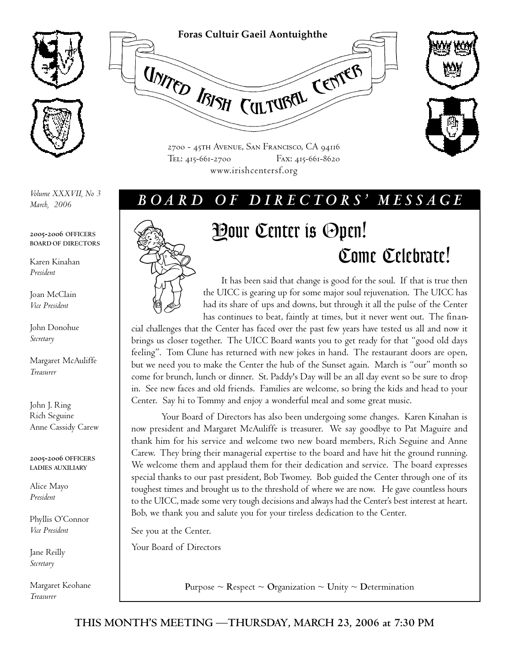



*Volume XXXVII, No 3 March, 2006*

**2005-2006 OFFICERS BOARD OF DIRECTORS**

Karen Kinahan *President*

Joan McClain *Vice President*

John Donohue *Secretary*

Margaret McAuliffe *Treasurer*

John J. Ring Rich Seguine Anne Cassidy Carew

**2005-2006 OFFICERS LADIES AUXILIARY**

Alice Mayo *President*

Phyllis O'Connor *Vice President*

Jane Reilly *Secretary*

Margaret Keohane *Treasurer*





2700 - 45th Avenue, San Francisco, CA 94116 Tel: 415-661-2700 Fax: 415-661-8620 www.irishcentersf.org

## *B O A R D O F D I R E C T O R S ' M E S S A G E*



# Your Center is Open! Come Celebrate!

It has been said that change is good for the soul. If that is true then the UICC is gearing up for some major soul rejuvenation. The UICC has had its share of ups and downs, but through it all the pulse of the Center has continues to beat, faintly at times, but it never went out. The finan-

cial challenges that the Center has faced over the past few years have tested us all and now it brings us closer together. The UICC Board wants you to get ready for that "good old days feeling". Tom Clune has returned with new jokes in hand. The restaurant doors are open, but we need you to make the Center the hub of the Sunset again. March is "our" month so come for brunch, lunch or dinner. St. Paddy's Day will be an all day event so be sure to drop in. See new faces and old friends. Families are welcome, so bring the kids and head to your Center. Say hi to Tommy and enjoy a wonderful meal and some great music.

Your Board of Directors has also been undergoing some changes. Karen Kinahan is now president and Margaret McAuliffe is treasurer. We say goodbye to Pat Maguire and thank him for his service and welcome two new board members, Rich Seguine and Anne Carew. They bring their managerial expertise to the board and have hit the ground running. We welcome them and applaud them for their dedication and service. The board expresses special thanks to our past president, Bob Twomey. Bob guided the Center through one of its toughest times and brought us to the threshold of where we are now. He gave countless hours to the UICC, made some very tough decisions and always had the Center's best interest at heart. Bob, we thank you and salute you for your tireless dedication to the Center.

See you at the Center.

Your Board of Directors

**Purpose**  $\sim$  **Respect**  $\sim$  **Organization**  $\sim$  **Unity**  $\sim$  **Determination**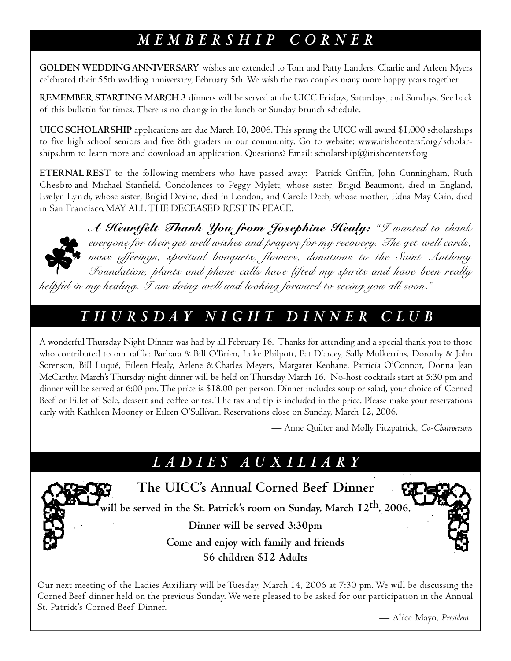# *M E M B E R S H I P C O R N E R*

**GOLDEN WEDDING ANNIVERSARY** wishes are extended to Tom and Patty Landers. Charlie and Arleen Myers celebrated their 55th wedding anniversary, February 5th. We wish the two couples many more happy years together.

**REMEMBER STARTING MARCH 3** dinners will be served at the UICC Fridays, Saturd ays, and Sundays. See back of this bulletin for times. There is no change in the lunch or Sunday brunch schedule.

**UICC SCHOLARSHIP** applications are due March 10, 2006. This spring the UICC will award \$1,000 scholarships to five high school seniors and five 8th graders in our community. Go to website: www.irishcentersf.org/sdoolarships.htm to learn more and download an application. Questions? Email: scholarship@irishcentersf.org

**ETERNAL REST** to the following members who have passed away: Patrick Griffin, John Cunningham, Ruth Chesbro and Michael Stanfield. Condolences to Peggy Mylett, whose sister, Brigid Beaumont, died in England, Evelyn Lynch, whose sister, Brigid Devine, died in London, and Carole Deeb, whose mother, Edna May Cain, died in San Francisco, MAY ALL THE DECEASED REST IN PEACE.



*A Heartfelt Thank You from Josephine Healy: "I wanted to thank everyone for their get-well wishes and prayers for my recovery. The get-well cards, mass offerings, spiritual bouquets, flowers, donations to the Saint Anthony Foundation, plants and phone calls have lifted my spirits and have been really helpful in my healing. I am doing well and looking forward to seeing you all soon."*

## *T H U R S D A Y N I G H T D I N N E R C L U B*

A wonderful Thursday Night Dinner was had by all February 16. Thanks for attending and a special thank you to those who contributed to our raffle: Barbara & Bill O'Brien, Luke Philpott, Pat D'arcey, Sally Mulkerrins, Dorothy & John Sorenson, Bill Luqué, Eileen Healy, Arlene & Charles Meyers, Margaret Keohane, Patricia O'Connor, Donna Jean McCarthy. March'sThursday night dinner will be held on Thursday March 16. No-host cocktails start at 5:30 pm and dinner will be served at 6:00 pm. The price is \$18.00 per person. Dinner includes soup or salad, your choice of Corned Beef or Fillet of Sole, dessert and coffee or tea. The tax and tip is included in the price. Please make your reservations early with Kathleen Mooney or Eileen O'Sullivan. Reservations close on Sunday, March 12, 2006.

— Anne Quilter and Molly Fitzpatrick, *Co-Chairpersons*

## *L A D I E S A U X I L I A R Y*



**The UICC's Annual Corned Beef Dinner** 

**will be served in the St. Patrick's room on Sunday, March 12th, 2006.**

**Dinner will be served 3:30pm**

**Come and enjoy with family and friends \$6 children \$12 Adults**



Our next meeting of the Ladies Auxiliary will be Tuesday, March 14, 2006 at 7:30 pm. We will be discussing the Corned Beef dinner held on the previous Sunday. We we re pleased to be asked for our participation in the Annual St. Patrick's Corned Beef Dinner.

— Alice Mayo, *President*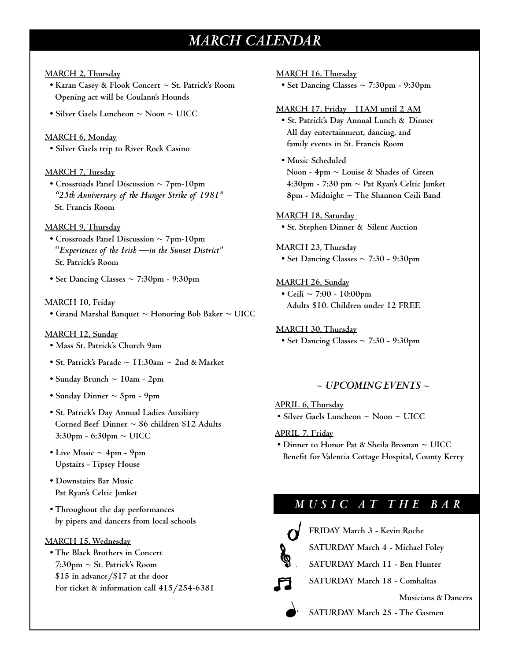## *MARCH CALENDAR*

## **MARCH 2, Thursday**

- **Karan Casey & Flook Concert ~ St. Patrick's Room Opening act will be Coulann's Hounds**
- **Silver Gaels Luncheon ~ Noon ~ UICC**

### **MARCH 6, Monday**

**• Silver Gaels trip to River Rock Casino**

## **MARCH 7, Tuesday**

**• Crossroads Panel Discussion ~ 7pm-10pm** *"25th Anniversary of the Hunger Strike of 1981"* **St. Francis Room**

### **MARCH 9, Thursday**

- **Crossroads Panel Discussion ~ 7pm-10pm "***Experiences of the Irish —in the Sunset District"* **St. Patrick's Room**
- **Set Dancing Classes ~ 7:30pm 9:30pm**

#### **MARCH 10, Friday**

**• Grand Marshal Banquet ~ Honoring Bob Baker ~ UICC** 

#### **MARCH 12, Sunday**

- **Mass St. Patrick's Church 9am**
- **St. Patrick's Parade ~ 11:30am ~ 2nd & Market**
- **Sunday Brunch ~ 10am 2pm**
- **Sunday Dinner ~ 5pm 9pm**
- **St. Patrick's Day Annual Ladies Auxiliary Corned Beef Dinner ~ \$6 children \$12 Adults 3:30pm - 6:30pm ~ UICC**
- Live Music  $\sim$  4pm 9pm **Upstairs - Tipsey House**
- **Downstairs Bar Music Pat Ryan's Celtic Junket**
- **• Throughout the day performances by pipers and dancers from local schools**

## **MARCH 15, Wednesday**

**• The Black Brothers in Concert 7:30pm ~ St. Patrick's Room \$15 in advance/\$17 at the door For ticket & information call 415/254-6381** 

## **MARCH 16, Thursday**

**• Set Dancing Classes ~ 7:30pm - 9:30pm**

#### **MARCH 17, Friday 11AM until 2 AM**

- **St. Patrick's Day Annual Lunch & Dinner All day entertainment, dancing, and family events in St. Francis Room**
- **Music Scheduled Noon - 4pm ~ Louise & Shades of Green 4:30pm - 7:30 pm ~ Pat Ryan's Celtic Junket 8pm - Midnight ~ The Shannon Ceili Band**

## **MARCH 18, Saturday**

**• St. Stephen Dinner & Silent Auction**

## **MARCH 23, Thursday**

**• Set Dancing Classes ~ 7:30 - 9:30pm**

## **MARCH 26, Sunday**

**• Ceili ~ 7:00 - 10:00pm Adults \$10. Children under 12 FREE**

## **MARCH 30, Thursday**

**• Set Dancing Classes ~ 7:30 - 9:30pm**

## **~** *UPCOMING EVENTS* **~**

## **APRIL 6, Thursday**

**• Silver Gaels Luncheon ~ Noon ~ UICC**

## **APRIL 7, Friday**

**• Dinner to Honor Pat & Sheila Brosnan ~ UICC Benefit for Valentia Cottage Hospital, County Kerry**

## *M U S I C A T T H E B A R*



**FRIDAY March 3 - Kevin Roche**

**SATURDAY March 4 - Michael Foley**

- **SATURDAY March 11 Ben Hunter**
- **SATURDAY March 18 Comhaltas**

#### **Musicians & Dancers**

**SATURDAY March 25 - The Gasmen**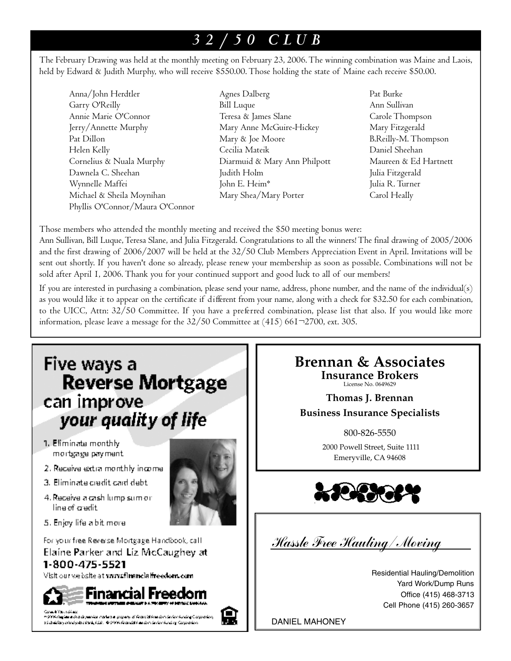# *3 2 / 5 0 C L U B*

The February Drawing was held at the monthly meeting on February 23, 2006. The winning combination was Maine and Laois, held by Edward & Judith Murphy, who will receive \$550.00. Those holding the state of Maine each receive \$50.00.

- Anna/John Herdtler Agnes Dalberg Pat Burke Garry O'Reilly Bill Luque Ann Sullivan Annie Marie O'Connor Teresa & James Slane Carole Thompson Jerry/Annette Murphy Mary Anne McGuire-Hickey Mary Fitzgerald Pat Dillon Mary & Joe Moore B.Reilly-M. Thompson Helen Kelly Cecilia Mateik Daniel Sheehan Cornelius & Nuala Murphy Diarmuid & Mary Ann Philpott Maureen & Ed Hartnett Dawnela C. Sheehan Judith Holm Julia Fitzgerald Wynnelle Maffei John E. Heim\* Julia R. Turner Michael & Sheila Moynihan Mary Shea/Mary Porter Carol Heally Phyllis O'Connor/Maura O'Connor
	-
- 

Those members who attended the monthly meeting and received the \$50 meeting bonus were:

Ann Sullivan, Bill Luque, Teresa Slane, and Julia Fitzgerald. Congratulations to all the winners! The final drawing of 2005/2006 and the first drawing of 2006/2007 will be held at the 32/50 Club Members Appreciation Event in April. Invitations will be sent out shortly. If you haven't done so already, please renew your membership as soon as possible. Combinations will not be sold after April 1, 2006. Thank you for your continued support and good luck to all of our members!

If you are interested in purchasing a combination, please send your name, address, phone number, and the name of the individual( $s$ ) as you would like it to appear on the certificate if different from your name, along with a check for \$32.50 for each combination, to the UICC, Attn: 32/50 Committee. If you have a preferred combination, please list that also. If you would like more information, please leave a message for the  $32/50$  Committee at  $(415)$  661 $\neg$ 2700, ext. 305.

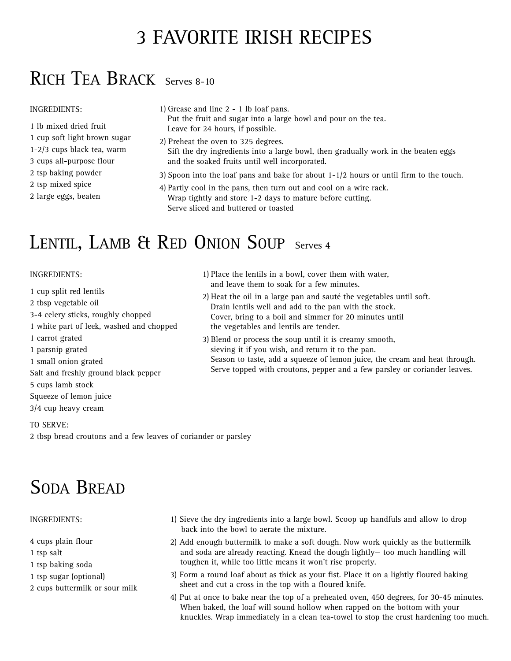# 3 FAVORITE IRISH RECIPES

# RICH TEA BRACK Serves 8-10

## INGREDIENTS:

- 1 lb mixed dried fruit
- 1 cup soft light brown sugar
- 1-2/3 cups black tea, warm
- 3 cups all-purpose flour
- 2 tsp baking powder
- 2 tsp mixed spice
- 2 large eggs, beaten

1) Grease and line 2 - 1 lb loaf pans.

Put the fruit and sugar into a large bowl and pour on the tea. Leave for 24 hours, if possible.

- 2) Preheat the oven to 325 degrees. Sift the dry ingredients into a large bowl, then gradually work in the beaten eggs and the soaked fruits until well incorporated.
- 3) Spoon into the loaf pans and bake for about 1-1/2 hours or until firm to the touch.
- 4) Partly cool in the pans, then turn out and cool on a wire rack. Wrap tightly and store 1-2 days to mature before cutting. Serve sliced and buttered or toasted

# LENTIL, LAMB & RED ONION SOUP Serves 4

## INGREDIENTS:

- 1 cup split red lentils
- 2 tbsp vegetable oil
- 3-4 celery sticks, roughly chopped
- 1 white part of leek, washed and chopped
- 1 carrot grated
- 1 parsnip grated
- 1 small onion grated
- Salt and freshly ground black pepper
- 5 cups lamb stock
- Squeeze of lemon juice
- 3/4 cup heavy cream

## TO SERVE:

2 tbsp bread croutons and a few leaves of coriander or parsley

# SODA BREAD

## INGREDIENTS:

- 4 cups plain flour
- 1 tsp salt
- 1 tsp baking soda
- 1 tsp sugar (optional)
- 2 cups buttermilk or sour milk
- 1) Sieve the dry ingredients into a large bowl. Scoop up handfuls and allow to drop back into the bowl to aerate the mixture.
- 2) Add enough buttermilk to make a soft dough. Now work quickly as the buttermilk and soda are already reacting. Knead the dough lightly— too much handling will toughen it, while too little means it won't rise properly.
- 3) Form a round loaf about as thick as your fist. Place it on a lightly floured baking sheet and cut a cross in the top with a floured knife.
- 4) Put at once to bake near the top of a preheated oven, 450 degrees, for 30-45 minutes. When baked, the loaf will sound hollow when rapped on the bottom with your knuckles. Wrap immediately in a clean tea-towel to stop the crust hardening too much.
- 1) Place the lentils in a bowl, cover them with water, and leave them to soak for a few minutes.
- 2) Heat the oil in a large pan and sauté the vegetables until soft. Drain lentils well and add to the pan with the stock. Cover, bring to a boil and simmer for 20 minutes until the vegetables and lentils are tender.
- 3) Blend or process the soup until it is creamy smooth, sieving it if you wish, and return it to the pan. Season to taste, add a squeeze of lemon juice, the cream and heat through. Serve topped with croutons, pepper and a few parsley or coriander leaves.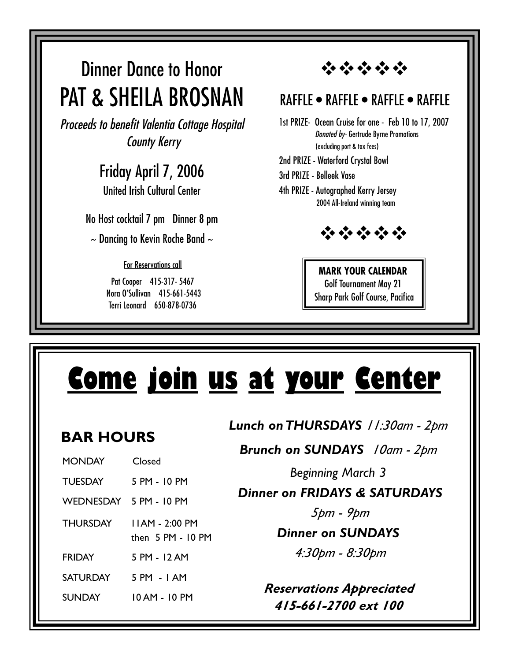# Dinner Dance to Honor PAT & SHEILA BROSNAN

*Proceeds to benefit Valentia Cottage Hospital County Kerry*

# Friday April 7, 2006

United Irish Cultural Center

No Host cocktail 7 pm Dinner 8 pm

 $\sim$  Dancing to Kevin Roche Band  $\sim$ 

For Reservations call

Pat Cooper 415-317- 5467 Nora O'Sullivan 415-661-5443 Terri Leonard 650-878-0736

安全安全会

## RAFFLE • RAFFLE • RAFFLE • RAFFLE

- 1st PRIZE- Ocean Cruise for one Feb 10 to 17, 2007 *Donated by-* Gertrude Byrne Promotions (excluding port & tax fees)
- 2nd PRIZE Waterford Crystal Bowl
- 3rd PRIZE Belleek Vase
- 4th PRIZE Autographed Kerry Jersey 2004 All-Ireland winning team



**MARK YOUR CALENDAR** Golf Tournament May 21 Sharp Park Golf Course, Pacifica

## *Beginning March 3 Dinner on FRIDAYS & SATURDAYS 5pm - 9pm Dinner on SUNDAYS 4:30pm - 8:30pm Lunch on THURSDAYS 11:30am - 2pm Brunch on SUNDAYS 10am - 2pm* **Come join us at your Center** MONDAY Closed TUESDAY 5 PM - 10 PM WEDNESDAY 5 PM - 10 PM THURSDAY 11AM - 2:00 PM then 5 PM - 10 PM FRIDAY 5 PM - 12 AM SATURDAY 5 PM - 1 AM SUNDAY 10 AM - 10 PM **BAR HOURS**  *Reservations Appreciated 415-661-2700 ext 100*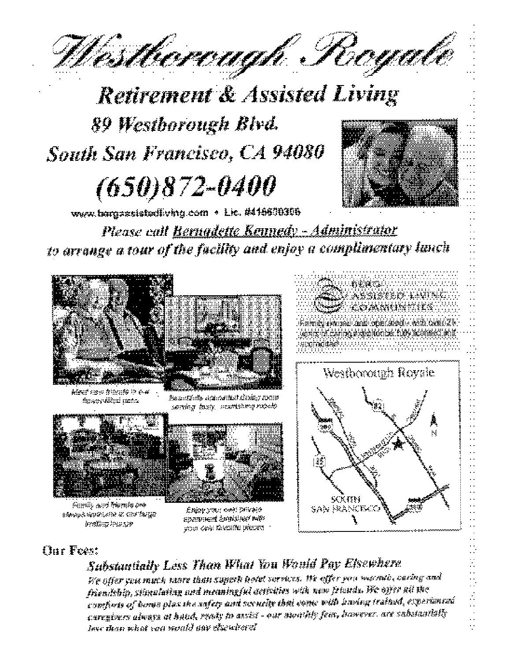Westbereagh Regale

**Retirement & Assisted Living** 89 Westborough Blvd. South San Francisco, CA 94080  $(650)872 - 0400$ 



www.tergassistediving.com · Lic. #416600306

Please call Rernadette Kennedy - Administrator to arrange a tour of the facility and enjoy a complimentary lanch



Meet naw friends in o.4 .<br>fisiway vilityki pianta

පිකොරණීන් කරණරණ්ඩර් ගින්නා නැගැන seining laury, verststung roomb



Samily and themse ore образуествование и спорбагург decelling interest



Спругусы: 1949 реказа SPAIDSEN AMBRIAN BAT your care through precess





 $\vdots$ 

Í.

## **Tur Feest**

Substantially Less Than What You Would Pay Elsewhere

We offer you much more than superh hotel versions. We effer you was min, caring and friendship, stimalating and meaningful activities with new friends. We offer all the conforts of borse plax the sufety and security that come with having trained, experienced caregivers always at hand, ready to assist - our monthly fear, hawever, are substantially lese than what san wanid pay elsewhere!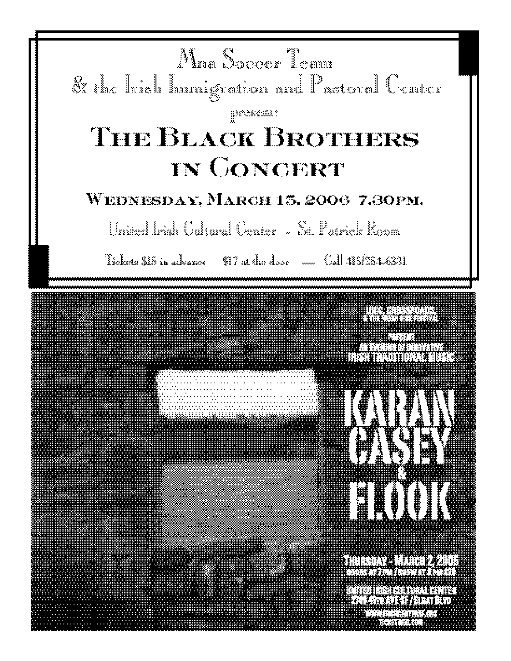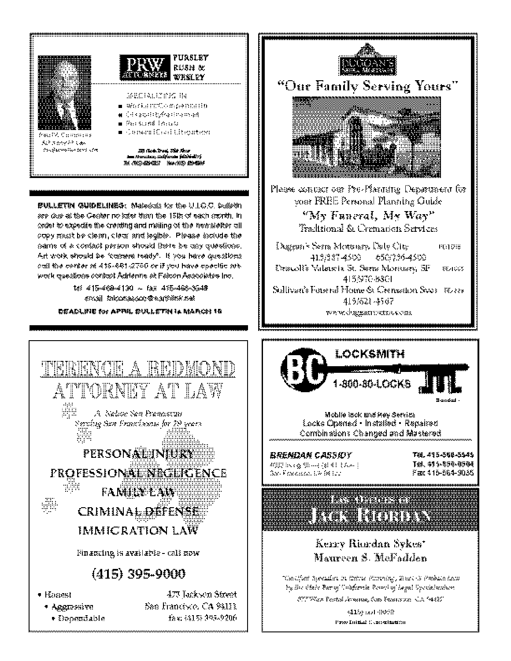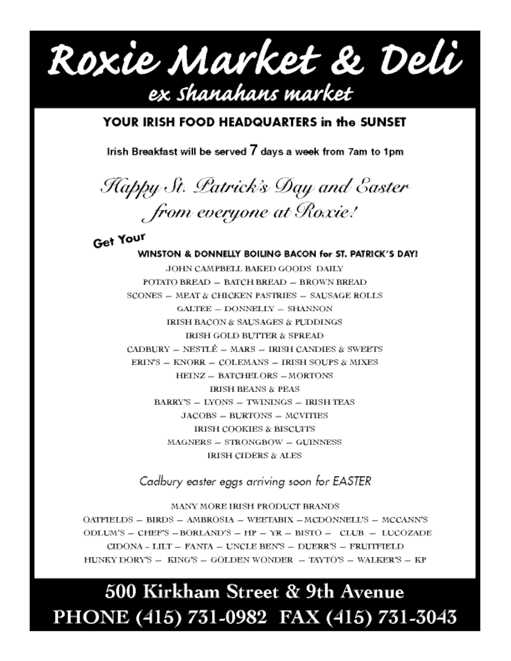Roxie Market & Deli ex shanahans market

## YOUR IRISH FOOD HEADQUARTERS in the SUNSET

Irish Breakfast will be served 7 days a week from 7am to 1pm

Happy St. Patrick's Day and Easter from everyone at Roxie!

Get Your WINSTON & DONNELLY BOILING BACON for ST. PATRICK'S DAY! JOHN CAMPBELL BAKED GOODS DAILY POTATO BREAD - BATCH BREAD - BROWN BREAD SCONES - MEAT & CHICKEN PASTRIES - SAUSAGE ROLLS GALTEE -- DONNELLY -- SHANNON **IRISH BACON & SAUSAGES & PUDDINGS** IRISH GOLD BUTTER & SPREAD CADBURY -- NESTLÉ -- MARS -- IRISH CANDIES & SWEETS ERIN'S -- KNORR -- COLEMANS -- IRISH SOUPS & MIXES HEINZ -- BATCHELORS -- MORTONS **IRISH BEANS & PEAS** BARRY'S - LYONS - TWININGS - IRISH TEAS JACOBS -- BURTONS -- MCVITIES **IRISH COOKIES & BISCUITS** MAGNERS - STRONGBOW - GUINNESS **IRISH CIDERS & ALES** 

Cadbury easter eggs arriving soon for EASTER

MANY MORE IRISH PRODUCT BRANDS OATFIELDS - BIRDS - AMBROSIA - WEETABIX - MCDONNELL'S - MCCANN'S ODLUM'S - CHEF'S -BORLAND'S - HP - YR - BISTO - CLUB - LUCOZADE  $CIDONA \sim LILT = FANTA = UNCLE BEN'S = DUERR'S = FRUITFIELD$ HUNKY DORY'S - KING'S - GOLDEN WONDER - TAYTO'S - WALKER'S - KP

# 500 Kirkham Street & 9th Avenue PHONE (415) 731-0982 FAX (415) 731-3043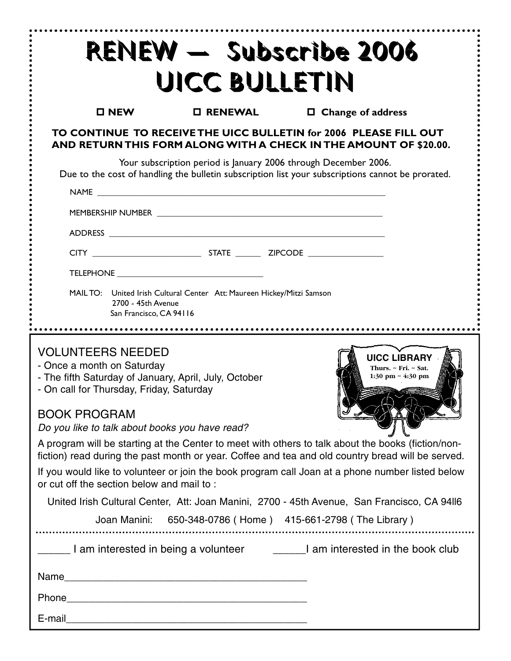| RENEW - Subscribe 2006<br>UICC BULLETIN                                                                                                                                                                                                                                                                                                                                                                                                                                                                                                                                                                                                                                                                                                                                                                                                                                                                         |                  |  |                          |
|-----------------------------------------------------------------------------------------------------------------------------------------------------------------------------------------------------------------------------------------------------------------------------------------------------------------------------------------------------------------------------------------------------------------------------------------------------------------------------------------------------------------------------------------------------------------------------------------------------------------------------------------------------------------------------------------------------------------------------------------------------------------------------------------------------------------------------------------------------------------------------------------------------------------|------------------|--|--------------------------|
| $\square$ NEW                                                                                                                                                                                                                                                                                                                                                                                                                                                                                                                                                                                                                                                                                                                                                                                                                                                                                                   | <b>O RENEWAL</b> |  | $\Box$ Change of address |
| TO CONTINUE TO RECEIVE THE UICC BULLETIN for 2006 PLEASE FILL OUT<br>AND RETURN THIS FORM ALONG WITH A CHECK IN THE AMOUNT OF \$20.00.                                                                                                                                                                                                                                                                                                                                                                                                                                                                                                                                                                                                                                                                                                                                                                          |                  |  |                          |
| Your subscription period is January 2006 through December 2006.<br>Due to the cost of handling the bulletin subscription list your subscriptions cannot be prorated.<br>NAME And the contract of the contract of the contract of the contract of the contract of the contract of the contract of the contract of the contract of the contract of the contract of the contract of the contract of the c                                                                                                                                                                                                                                                                                                                                                                                                                                                                                                          |                  |  |                          |
|                                                                                                                                                                                                                                                                                                                                                                                                                                                                                                                                                                                                                                                                                                                                                                                                                                                                                                                 |                  |  |                          |
|                                                                                                                                                                                                                                                                                                                                                                                                                                                                                                                                                                                                                                                                                                                                                                                                                                                                                                                 |                  |  |                          |
|                                                                                                                                                                                                                                                                                                                                                                                                                                                                                                                                                                                                                                                                                                                                                                                                                                                                                                                 |                  |  |                          |
|                                                                                                                                                                                                                                                                                                                                                                                                                                                                                                                                                                                                                                                                                                                                                                                                                                                                                                                 |                  |  |                          |
| MAIL TO: United Irish Cultural Center Att: Maureen Hickey/Mitzi Samson<br>2700 - 45th Avenue<br>San Francisco, CA 94116                                                                                                                                                                                                                                                                                                                                                                                                                                                                                                                                                                                                                                                                                                                                                                                         |                  |  |                          |
| <b>VOLUNTEERS NEEDED</b><br><b>UICC LIBRARY</b><br>- Once a month on Saturday<br>Thurs. ~ Fri. ~ Sat.<br>- The fifth Saturday of January, April, July, October<br>1:30 pm ~ 4:30 pm<br>- On call for Thursday, Friday, Saturday<br><b>BOOK PROGRAM</b><br>Do you like to talk about books you have read?<br>A program will be starting at the Center to meet with others to talk about the books (fiction/non-<br>fiction) read during the past month or year. Coffee and tea and old country bread will be served.<br>If you would like to volunteer or join the book program call Joan at a phone number listed below<br>or cut off the section below and mail to:<br>United Irish Cultural Center, Att: Joan Manini, 2700 - 45th Avenue, San Francisco, CA 94II6<br>Joan Manini: 650-348-0786 (Home) 415-661-2798 (The Library)<br>Lam interested in being a volunteer docum and interested in the book club |                  |  |                          |
| Name                                                                                                                                                                                                                                                                                                                                                                                                                                                                                                                                                                                                                                                                                                                                                                                                                                                                                                            |                  |  |                          |
| Phone 2008 2009 2010 2020 2020 2020 2021 2022 2021 2021 2022 2021 2022 2022 2021 2021 2021 2022 2021 2021 2021                                                                                                                                                                                                                                                                                                                                                                                                                                                                                                                                                                                                                                                                                                                                                                                                  |                  |  |                          |
|                                                                                                                                                                                                                                                                                                                                                                                                                                                                                                                                                                                                                                                                                                                                                                                                                                                                                                                 |                  |  |                          |